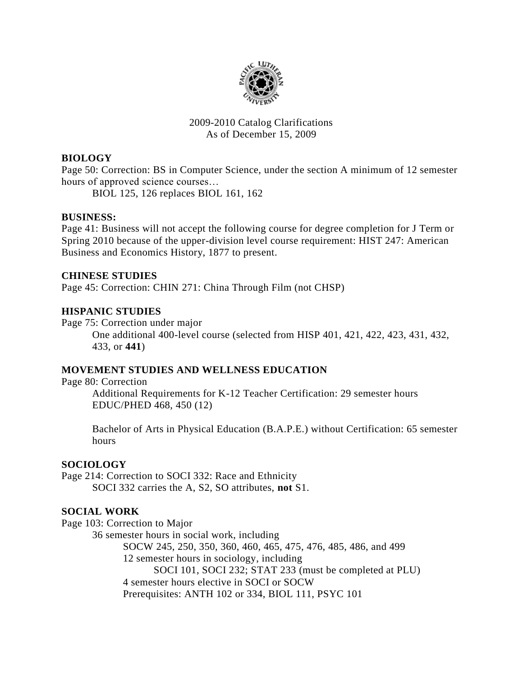

#### 2009-2010 Catalog Clarifications As of December 15, 2009

## **BIOLOGY**

Page 50: Correction: BS in Computer Science, under the section A minimum of 12 semester hours of approved science courses…

BIOL 125, 126 replaces BIOL 161, 162

## **BUSINESS:**

Page 41: Business will not accept the following course for degree completion for J Term or Spring 2010 because of the upper-division level course requirement: HIST 247: American Business and Economics History, 1877 to present.

#### **CHINESE STUDIES**

Page 45: Correction: CHIN 271: China Through Film (not CHSP)

## **HISPANIC STUDIES**

Page 75: Correction under major

One additional 400-level course (selected from HISP 401, 421, 422, 423, 431, 432, 433, or **441**)

## **MOVEMENT STUDIES AND WELLNESS EDUCATION**

Page 80: Correction Additional Requirements for K-12 Teacher Certification: 29 semester hours EDUC/PHED 468, 450 (12)

Bachelor of Arts in Physical Education (B.A.P.E.) without Certification: 65 semester hours

## **SOCIOLOGY**

Page 214: Correction to SOCI 332: Race and Ethnicity SOCI 332 carries the A, S2, SO attributes, **not** S1.

## **SOCIAL WORK**

Page 103: Correction to Major

36 semester hours in social work, including

SOCW 245, 250, 350, 360, 460, 465, 475, 476, 485, 486, and 499

12 semester hours in sociology, including

SOCI 101, SOCI 232; STAT 233 (must be completed at PLU)

4 semester hours elective in SOCI or SOCW

Prerequisites: ANTH 102 or 334, BIOL 111, PSYC 101